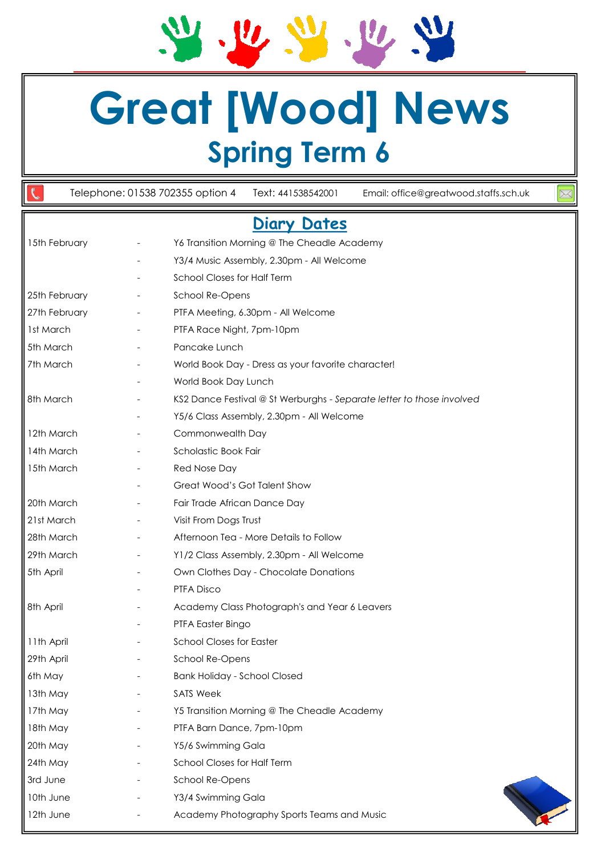# **Great [Wood] News Spring Term 6**

 $\mathbf{v}$ 

 $U_{\ell}$ 

 $\mathfrak{C}$ Telephone: 01538 702355 option 4 Text: 441538542001 Email: office@greatwood.staffs.sch.uk **Diary Dates**  15th February **-** Y6 Transition Morning @ The Cheadle Academy Y3/4 Music Assembly, 2.30pm - All Welcome - School Closes for Half Term 25th February **-** School Re-Opens 27th February **- PTFA Meeting, 6.30pm - All Welcome** 1st March Table 1. The PTFA Race Night, 7pm-10pm 5th March The Contract Contract Pancake Lunch 7th March - World Book Day - Dress as your favorite character! World Book Day Lunch 8th March - KS2 Dance Festival @ St Werburghs - *Separate letter to those involved -* Y5/6 Class Assembly, 2.30pm - All Welcome 12th March Table - Commonwealth Day 14th March The Scholastic Book Fair 15th March Theory Charles Red Nose Day - Great Wood's Got Talent Show 20th March - Fair Trade African Dance Day 21st March - Visit From Dogs Trust 28th March <sup>-</sup> Afternoon Tea - More Details to Follow 29th March - Y1/2 Class Assembly, 2.30pm - All Welcome 5th April **1988** - Chocolate Donations - Chocolate Donations PTFA Disco 8th April **8th April 19th Academy Class Photograph's and Year 6 Leavers** PTFA Easter Bingo 11th April **11th April 11th April** 29th April **Canada Access** - School Re-Opens 6th May - Bank Holiday - School Closed 13th May **-** SATS Week 17th May **- Y5 Transition Morning @ The Cheadle Academy** 18th May **-** PTFA Barn Dance, 7pm-10pm 20th May - Y5/6 Swimming Gala 24th May - School Closes for Half Term 3rd June - School Re-Opens 10th June - Y3/4 Swimming Gala 12th June **- Academy Photography Sports Teams and Music**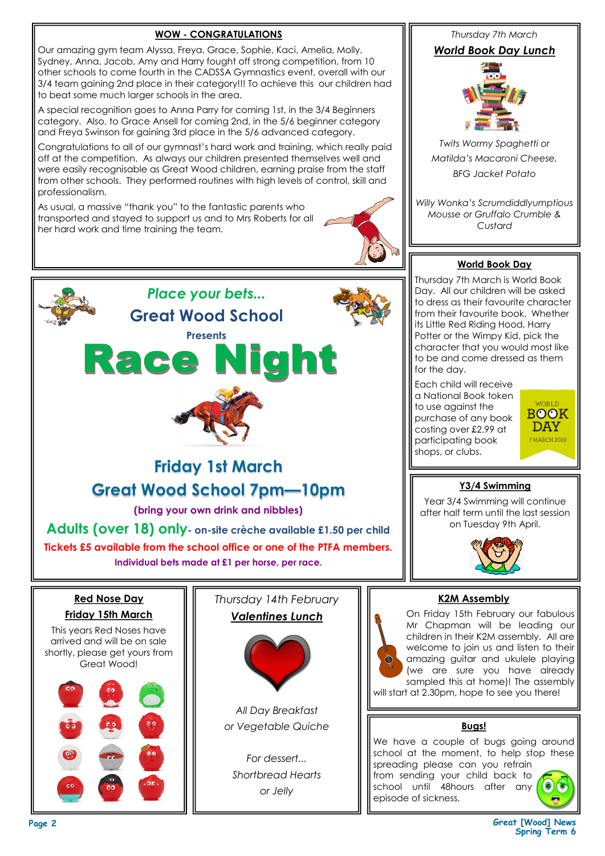## **WOW - CONGRATULATIONS**

Our amazing gym team Alyssa, Freya, Grace, Sophie, Kaci, Amelia, Molly, Sydney, Anna, Jacob, Amy and Harry fought off strong competition, from 10 other schools to come fourth in the CADSSA Gymnastics event, overall with our 3/4 team gaining 2nd place in their category!!! To achieve this our children had to beat some much larger schools in the area.

A special recognition goes to Anna Parry for coming 1st, in the 3/4 Beginners category. Also, to Grace Ansell for coming 2nd, in the 5/6 beginner category and Freya Swinson for gaining 3rd place in the 5/6 advanced category.

Congratulations to all of our gymnast's hard work and training, which really paid off at the competition. As always our children presented themselves well and were easily recognisable as Great Wood children, earning praise from the staff from other schools. They performed routines with high levels of control, skill and professionalism.

*Place your bets...*

**Great Wood School**

As usual, a massive "thank you" to the fantastic parents who transported and stayed to support us and to Mrs Roberts for all her hard work and time training the team.



**Presents** Race Nigh **Friday 1st March Great Wood School 7pm—10pm (bring your own drink and nibbles) Adults (over 18) only- on-site crèche available £1.50 per child Tickets £5 available from the school office or one of the PTFA members. Individual bets made at £1 per horse, per race.**

#### **Red Nose Day Friday 15th March**



## *Thursday 14th February Valentines Lunch*



*All Day Breakfast or Vegetable Quiche*

*For dessert... Shortbread Hearts or Jelly*

*Thursday 7th March*

#### *World Book Day Lunch*



*Twits Wormy Spaghetti or Matilda's Macaroni Cheese, BFG Jacket Potato*

*Willy Wonka's Scrumdiddlyumptious Mousse or Gruffalo Crumble & Custard*

#### **World Book Day**

Thursday 7th March is World Book Day. All our children will be asked to dress as their favourite character from their favourite book. Whether its Little Red Riding Hood, Harry Potter or the Wimpy Kid, pick the character that you would most like to be and come dressed as them for the day.

Each child will receive a National Book token to use against the purchase of any book costing over £2.99 at participating book shops, or clubs.



## **Y3/4 Swimming**

Year 3/4 Swimming will continue after half term until the last session on Tuesday 9th April.



## **K2M Assembly**

On Friday 15th February our fabulous Mr Chapman will be leading our children in their K2M assembly. All are welcome to join us and listen to their amazing guitar and ukulele playing (we are sure you have already sampled this at home)! The assembly will start at 2.30pm, hope to see you there!

#### **Bugs!**

We have a couple of bugs going around school at the moment, to help stop these spreading please can you refrain

from sending your child back to school until 48hours after any episode of sickness.